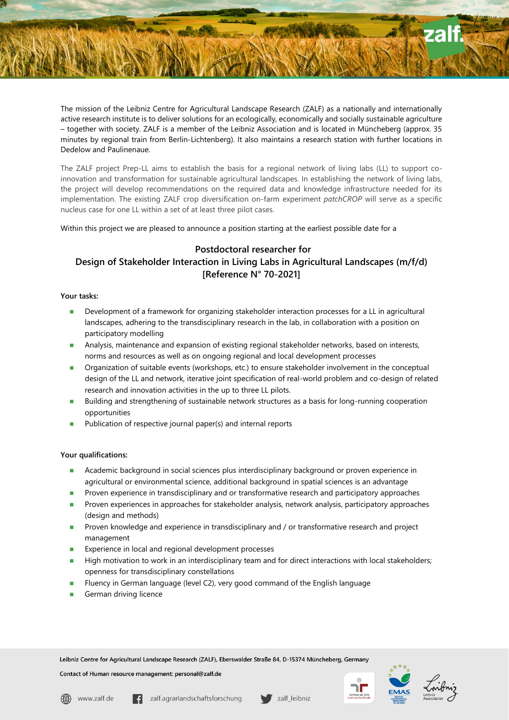The mission of the Leibniz Centre for Agricultural Landscape Research (ZALF) as a nationally and internationally active research institute is to deliver solutions for an ecologically, economically and socially sustainable agriculture – together with society. ZALF is a member of the Leibniz Association and is located in Müncheberg (approx. 35 minutes by regional train from Berlin-Lichtenberg). It also maintains a research station with further locations in Dedelow and Paulinenaue.

The ZALF project Prep-LL aims to establish the basis for a regional network of living labs (LL) to support coinnovation and transformation for sustainable agricultural landscapes. In establishing the network of living labs, the project will develop recommendations on the required data and knowledge infrastructure needed for its implementation. The existing ZALF crop diversification on-farm experiment *patchCROP* will serve as a specific nucleus case for one LL within a set of at least three pilot cases.

Within this project we are pleased to announce a position starting at the earliest possible date for a

# **Postdoctoral researcher for Design of Stakeholder Interaction in Living Labs in Agricultural Landscapes (m/f/d) [Reference N° 70-2021]**

## **Your tasks:**

- **Development of a framework for organizing stakeholder interaction processes for a LL in agricultural** landscapes, adhering to the transdisciplinary research in the lab, in collaboration with a position on participatory modelling
- Analysis, maintenance and expansion of existing regional stakeholder networks, based on interests, norms and resources as well as on ongoing regional and local development processes
- **Organization of suitable events (workshops, etc.) to ensure stakeholder involvement in the conceptual** design of the LL and network, iterative joint specification of real-world problem and co-design of related research and innovation activities in the up to three LL pilots.
- **Building and strengthening of sustainable network structures as a basis for long-running cooperation** opportunities
- Publication of respective journal paper(s) and internal reports

## **Your qualifications:**

- Academic background in social sciences plus interdisciplinary background or proven experience in agricultural or environmental science, additional background in spatial sciences is an advantage
- Proven experience in transdisciplinary and or transformative research and participatory approaches
- Proven experiences in approaches for stakeholder analysis, network analysis, participatory approaches (design and methods)
- Proven knowledge and experience in transdisciplinary and / or transformative research and project management
- Experience in local and regional development processes
- High motivation to work in an interdisciplinary team and for direct interactions with local stakeholders; openness for transdisciplinary constellations
- Fluency in German language (level C2), very good command of the English language
- German driving licence

Leibniz Centre for Agricultural Landscape Research (ZALF), Eberswalder Straße 84, D-15374 Müncheberg, Germany

Contact of Human resource management: personal@zalf.de





zalf leibniz